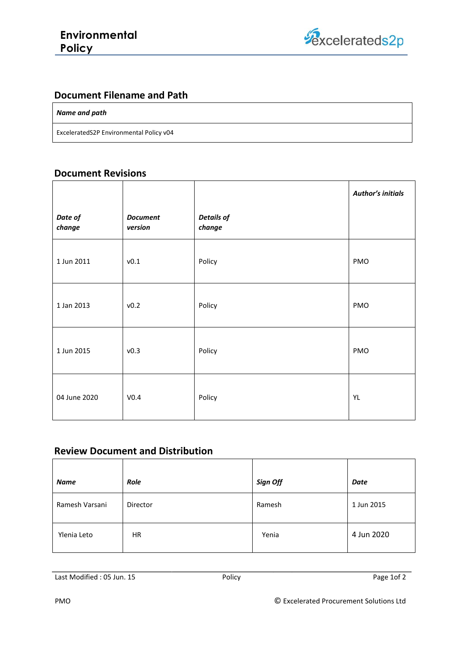

### **Document Filename and Path**

#### *Name and path*

ExceleratedS2P Environmental Policy v04

#### **Document Revisions**

|                   |                            |                             | <b>Author's initials</b> |
|-------------------|----------------------------|-----------------------------|--------------------------|
| Date of<br>change | <b>Document</b><br>version | <b>Details of</b><br>change |                          |
| 1 Jun 2011        | v0.1                       | Policy                      | PMO                      |
| 1 Jan 2013        | v0.2                       | Policy                      | PMO                      |
| 1 Jun 2015        | v0.3                       | Policy                      | PMO                      |
| 04 June 2020      | V <sub>0.4</sub>           | Policy                      | YL                       |

#### **Review Document and Distribution**

| <b>Name</b>    | Role      | Sign Off | Date       |
|----------------|-----------|----------|------------|
| Ramesh Varsani | Director  | Ramesh   | 1 Jun 2015 |
| Ylenia Leto    | <b>HR</b> | Yenia    | 4 Jun 2020 |

Last Modified : 05 Jun. 15 Policy Page 1of 2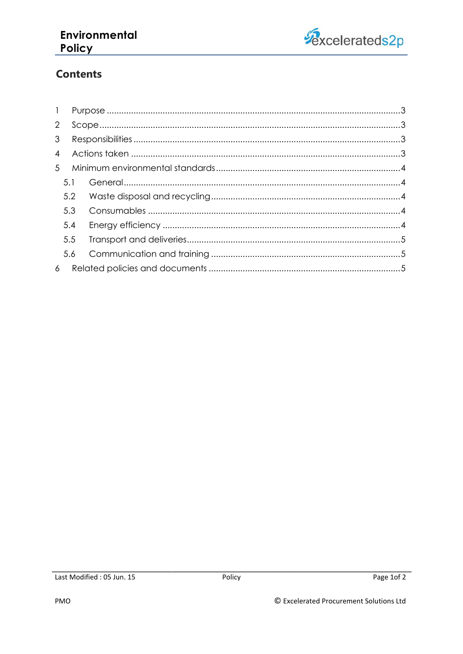## Environmental Policy



# **Contents**

| $\mathbf{1}$   |     |  |
|----------------|-----|--|
| $\overline{2}$ |     |  |
| 3 <sup>1</sup> |     |  |
| $\overline{4}$ |     |  |
| 5 <sup>5</sup> |     |  |
|                | 5.1 |  |
|                | 5.2 |  |
|                | 5.3 |  |
|                | 5.4 |  |
|                | 5.5 |  |
|                | 5.6 |  |
| $\overline{6}$ |     |  |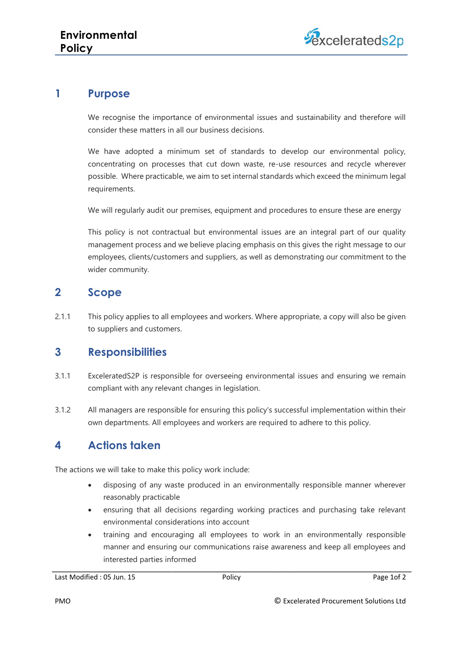## <span id="page-2-0"></span>**1 Purpose**

We recognise the importance of environmental issues and sustainability and therefore will consider these matters in all our business decisions.

We have adopted a minimum set of standards to develop our environmental policy, concentrating on processes that cut down waste, re-use resources and recycle wherever possible. Where practicable, we aim to set internal standards which exceed the minimum legal requirements.

We will regularly audit our premises, equipment and procedures to ensure these are energy

This policy is not contractual but environmental issues are an integral part of our quality management process and we believe placing emphasis on this gives the right message to our employees, clients/customers and suppliers, as well as demonstrating our commitment to the wider community.

### <span id="page-2-1"></span>**2 Scope**

2.1.1 This policy applies to all employees and workers. Where appropriate, a copy will also be given to suppliers and customers.

## <span id="page-2-2"></span>**3 Responsibilities**

- 3.1.1 ExceleratedS2P is responsible for overseeing environmental issues and ensuring we remain compliant with any relevant changes in legislation.
- 3.1.2 All managers are responsible for ensuring this policy's successful implementation within their own departments. All employees and workers are required to adhere to this policy.

## <span id="page-2-3"></span>**4 Actions taken**

The actions we will take to make this policy work include:

- disposing of any waste produced in an environmentally responsible manner wherever reasonably practicable
- ensuring that all decisions regarding working practices and purchasing take relevant environmental considerations into account
- training and encouraging all employees to work in an environmentally responsible manner and ensuring our communications raise awareness and keep all employees and interested parties informed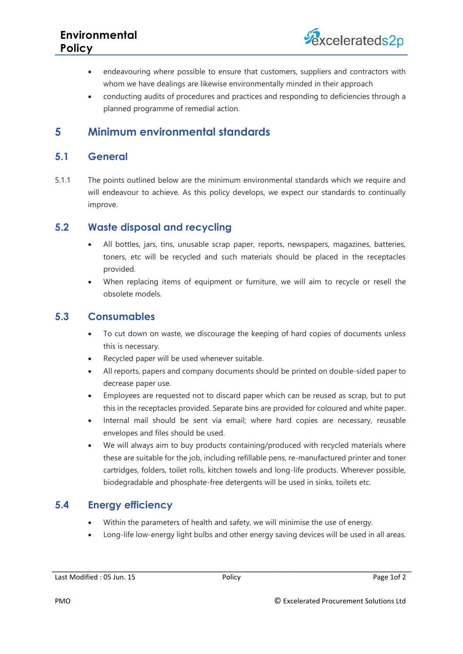- endeavouring where possible to ensure that customers, suppliers and contractors with whom we have dealings are likewise environmentally minded in their approach
- conducting audits of procedures and practices and responding to deficiencies through a planned programme of remedial action.

## <span id="page-3-0"></span>**5 Minimum environmental standards**

### <span id="page-3-1"></span>**5.1 General**

5.1.1 The points outlined below are the minimum environmental standards which we require and will endeavour to achieve. As this policy develops, we expect our standards to continually improve.

### <span id="page-3-2"></span>**5.2 Waste disposal and recycling**

- All bottles, jars, tins, unusable scrap paper, reports, newspapers, magazines, batteries, toners, etc will be recycled and such materials should be placed in the receptacles provided.
- When replacing items of equipment or furniture, we will aim to recycle or resell the obsolete models.

### <span id="page-3-3"></span>**5.3 Consumables**

- To cut down on waste, we discourage the keeping of hard copies of documents unless this is necessary.
- Recycled paper will be used whenever suitable.
- All reports, papers and company documents should be printed on double-sided paper to decrease paper use.
- Employees are requested not to discard paper which can be reused as scrap, but to put this in the receptacles provided. Separate bins are provided for coloured and white paper.
- Internal mail should be sent via email; where hard copies are necessary, reusable envelopes and files should be used.
- We will always aim to buy products containing/produced with recycled materials where these are suitable for the job, including refillable pens, re-manufactured printer and toner cartridges, folders, toilet rolls, kitchen towels and long-life products. Wherever possible, biodegradable and phosphate-free detergents will be used in sinks, toilets etc.

## <span id="page-3-4"></span>**5.4 Energy efficiency**

- Within the parameters of health and safety, we will minimise the use of energy.
- Long-life low-energy light bulbs and other energy saving devices will be used in all areas.